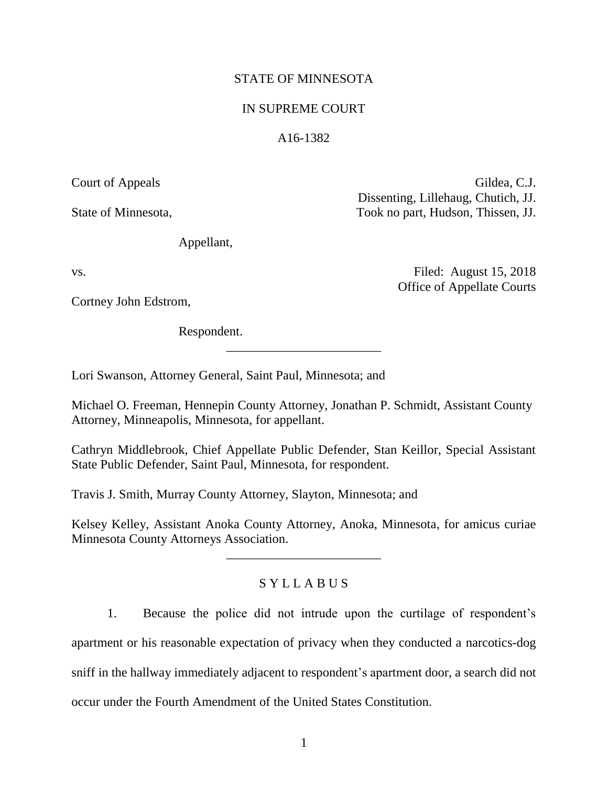# STATE OF MINNESOTA

# IN SUPREME COURT

## A16-1382

Court of Appeals Gildea, C.J. Dissenting, Lillehaug, Chutich, JJ. State of Minnesota, Took no part, Hudson, Thissen, JJ.

Office of Appellate Courts

Appellant,

vs. Filed: August 15, 2018

Cortney John Edstrom,

Respondent.

Lori Swanson, Attorney General, Saint Paul, Minnesota; and

Michael O. Freeman, Hennepin County Attorney, Jonathan P. Schmidt, Assistant County Attorney, Minneapolis, Minnesota, for appellant.

\_\_\_\_\_\_\_\_\_\_\_\_\_\_\_\_\_\_\_\_\_\_\_\_

Cathryn Middlebrook, Chief Appellate Public Defender, Stan Keillor, Special Assistant State Public Defender, Saint Paul, Minnesota, for respondent.

Travis J. Smith, Murray County Attorney, Slayton, Minnesota; and

Kelsey Kelley, Assistant Anoka County Attorney, Anoka, Minnesota, for amicus curiae Minnesota County Attorneys Association.

\_\_\_\_\_\_\_\_\_\_\_\_\_\_\_\_\_\_\_\_\_\_\_\_

# S Y L L A B U S

1. Because the police did not intrude upon the curtilage of respondent's

apartment or his reasonable expectation of privacy when they conducted a narcotics-dog

sniff in the hallway immediately adjacent to respondent's apartment door, a search did not

occur under the Fourth Amendment of the United States Constitution.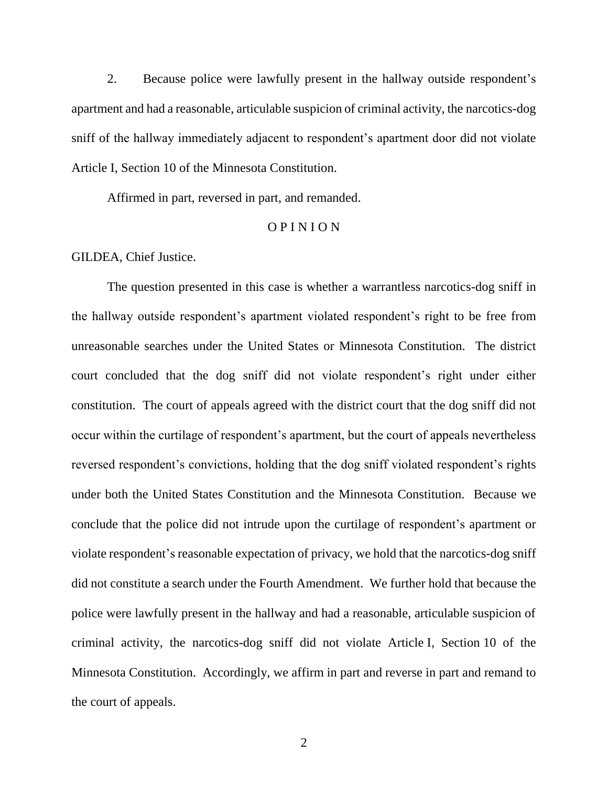2. Because police were lawfully present in the hallway outside respondent's apartment and had a reasonable, articulable suspicion of criminal activity, the narcotics-dog sniff of the hallway immediately adjacent to respondent's apartment door did not violate Article I, Section 10 of the Minnesota Constitution.

Affirmed in part, reversed in part, and remanded.

## O P I N I O N

GILDEA, Chief Justice.

The question presented in this case is whether a warrantless narcotics-dog sniff in the hallway outside respondent's apartment violated respondent's right to be free from unreasonable searches under the United States or Minnesota Constitution. The district court concluded that the dog sniff did not violate respondent's right under either constitution. The court of appeals agreed with the district court that the dog sniff did not occur within the curtilage of respondent's apartment, but the court of appeals nevertheless reversed respondent's convictions, holding that the dog sniff violated respondent's rights under both the United States Constitution and the Minnesota Constitution. Because we conclude that the police did not intrude upon the curtilage of respondent's apartment or violate respondent's reasonable expectation of privacy, we hold that the narcotics-dog sniff did not constitute a search under the Fourth Amendment. We further hold that because the police were lawfully present in the hallway and had a reasonable, articulable suspicion of criminal activity, the narcotics-dog sniff did not violate Article I, Section 10 of the Minnesota Constitution. Accordingly, we affirm in part and reverse in part and remand to the court of appeals.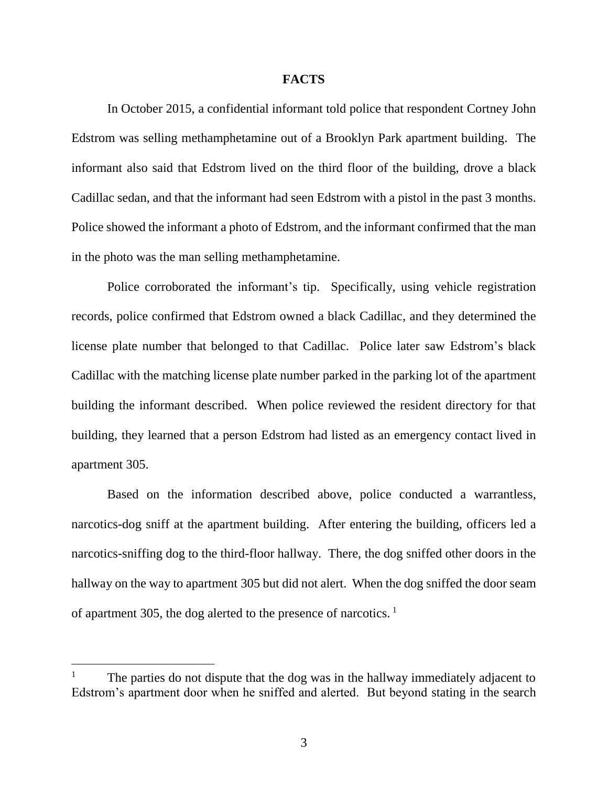## **FACTS**

In October 2015, a confidential informant told police that respondent Cortney John Edstrom was selling methamphetamine out of a Brooklyn Park apartment building. The informant also said that Edstrom lived on the third floor of the building, drove a black Cadillac sedan, and that the informant had seen Edstrom with a pistol in the past 3 months. Police showed the informant a photo of Edstrom, and the informant confirmed that the man in the photo was the man selling methamphetamine.

Police corroborated the informant's tip. Specifically, using vehicle registration records, police confirmed that Edstrom owned a black Cadillac, and they determined the license plate number that belonged to that Cadillac. Police later saw Edstrom's black Cadillac with the matching license plate number parked in the parking lot of the apartment building the informant described. When police reviewed the resident directory for that building, they learned that a person Edstrom had listed as an emergency contact lived in apartment 305.

Based on the information described above, police conducted a warrantless, narcotics-dog sniff at the apartment building. After entering the building, officers led a narcotics-sniffing dog to the third-floor hallway. There, the dog sniffed other doors in the hallway on the way to apartment 305 but did not alert. When the dog sniffed the door seam of apartment 305, the dog alerted to the presence of narcotics. <sup>1</sup>

<sup>1</sup> The parties do not dispute that the dog was in the hallway immediately adjacent to Edstrom's apartment door when he sniffed and alerted. But beyond stating in the search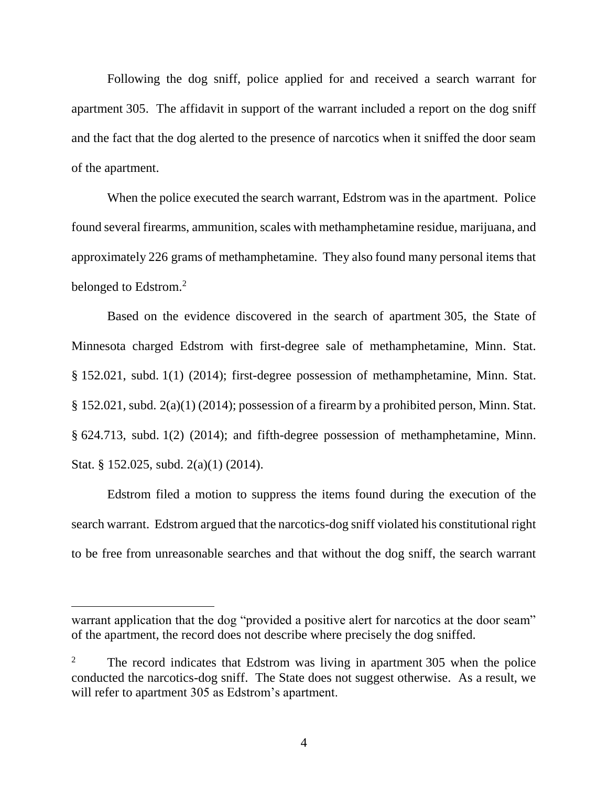Following the dog sniff, police applied for and received a search warrant for apartment 305. The affidavit in support of the warrant included a report on the dog sniff and the fact that the dog alerted to the presence of narcotics when it sniffed the door seam of the apartment.

When the police executed the search warrant, Edstrom was in the apartment. Police found several firearms, ammunition, scales with methamphetamine residue, marijuana, and approximately 226 grams of methamphetamine. They also found many personal items that belonged to Edstrom.<sup>2</sup>

Based on the evidence discovered in the search of apartment 305, the State of Minnesota charged Edstrom with first-degree sale of methamphetamine, Minn. Stat. § 152.021, subd. 1(1) (2014); first-degree possession of methamphetamine, Minn. Stat. § 152.021, subd. 2(a)(1) (2014); possession of a firearm by a prohibited person, Minn. Stat. § 624.713, subd. 1(2) (2014); and fifth-degree possession of methamphetamine, Minn. Stat. § 152.025, subd. 2(a)(1) (2014).

Edstrom filed a motion to suppress the items found during the execution of the search warrant. Edstrom argued that the narcotics-dog sniff violated his constitutional right to be free from unreasonable searches and that without the dog sniff, the search warrant

warrant application that the dog "provided a positive alert for narcotics at the door seam" of the apartment, the record does not describe where precisely the dog sniffed.

<sup>&</sup>lt;sup>2</sup> The record indicates that Edstrom was living in apartment 305 when the police conducted the narcotics-dog sniff. The State does not suggest otherwise. As a result, we will refer to apartment 305 as Edstrom's apartment.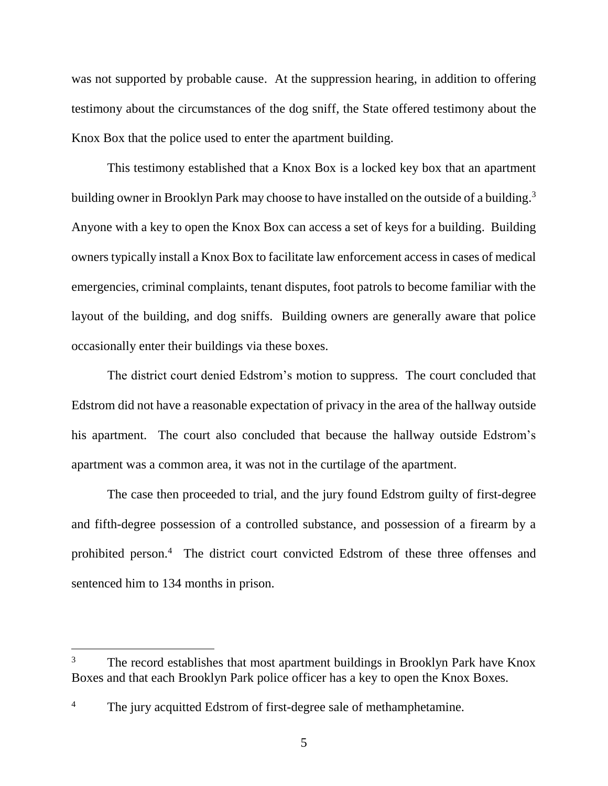was not supported by probable cause. At the suppression hearing, in addition to offering testimony about the circumstances of the dog sniff, the State offered testimony about the Knox Box that the police used to enter the apartment building.

This testimony established that a Knox Box is a locked key box that an apartment building owner in Brooklyn Park may choose to have installed on the outside of a building.<sup>3</sup> Anyone with a key to open the Knox Box can access a set of keys for a building. Building owners typically install a Knox Box to facilitate law enforcement access in cases of medical emergencies, criminal complaints, tenant disputes, foot patrols to become familiar with the layout of the building, and dog sniffs. Building owners are generally aware that police occasionally enter their buildings via these boxes.

The district court denied Edstrom's motion to suppress. The court concluded that Edstrom did not have a reasonable expectation of privacy in the area of the hallway outside his apartment. The court also concluded that because the hallway outside Edstrom's apartment was a common area, it was not in the curtilage of the apartment.

The case then proceeded to trial, and the jury found Edstrom guilty of first-degree and fifth-degree possession of a controlled substance, and possession of a firearm by a prohibited person.<sup>4</sup> The district court convicted Edstrom of these three offenses and sentenced him to 134 months in prison.

<sup>&</sup>lt;sup>3</sup> The record establishes that most apartment buildings in Brooklyn Park have Knox Boxes and that each Brooklyn Park police officer has a key to open the Knox Boxes.

<sup>&</sup>lt;sup>4</sup> The jury acquitted Edstrom of first-degree sale of methamphetamine.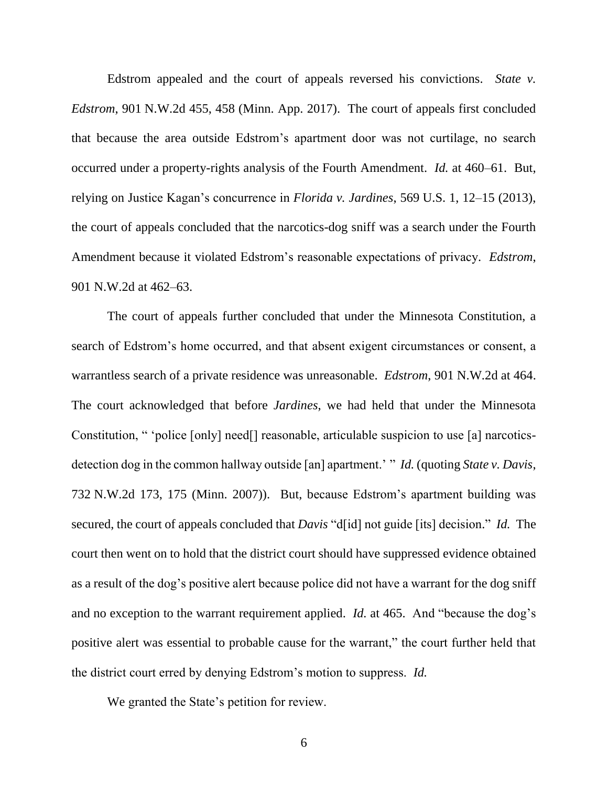Edstrom appealed and the court of appeals reversed his convictions. *State v. Edstrom*, 901 N.W.2d 455, 458 (Minn. App. 2017). The court of appeals first concluded that because the area outside Edstrom's apartment door was not curtilage, no search occurred under a property-rights analysis of the Fourth Amendment. *Id.* at 460–61. But, relying on Justice Kagan's concurrence in *Florida v. Jardines*, 569 U.S. 1, 12–15 (2013), the court of appeals concluded that the narcotics-dog sniff was a search under the Fourth Amendment because it violated Edstrom's reasonable expectations of privacy. *Edstrom*, 901 N.W.2d at 462–63.

The court of appeals further concluded that under the Minnesota Constitution, a search of Edstrom's home occurred, and that absent exigent circumstances or consent, a warrantless search of a private residence was unreasonable. *Edstrom*, 901 N.W.2d at 464. The court acknowledged that before *Jardines*, we had held that under the Minnesota Constitution, " 'police [only] need[] reasonable, articulable suspicion to use [a] narcoticsdetection dog in the common hallway outside [an] apartment.' " *Id.* (quoting *State v. Davis*, 732 N.W.2d 173, 175 (Minn. 2007)). But, because Edstrom's apartment building was secured, the court of appeals concluded that *Davis* "d[id] not guide [its] decision." *Id.* The court then went on to hold that the district court should have suppressed evidence obtained as a result of the dog's positive alert because police did not have a warrant for the dog sniff and no exception to the warrant requirement applied. *Id.* at 465. And "because the dog's positive alert was essential to probable cause for the warrant," the court further held that the district court erred by denying Edstrom's motion to suppress. *Id.*

We granted the State's petition for review.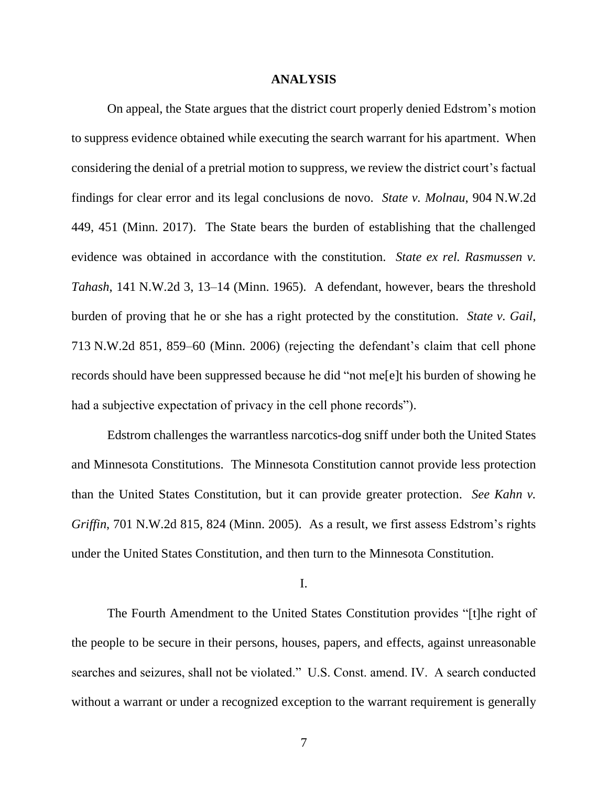## **ANALYSIS**

On appeal, the State argues that the district court properly denied Edstrom's motion to suppress evidence obtained while executing the search warrant for his apartment. When considering the denial of a pretrial motion to suppress, we review the district court's factual findings for clear error and its legal conclusions de novo. *State v. Molnau*, 904 N.W.2d 449, 451 (Minn. 2017). The State bears the burden of establishing that the challenged evidence was obtained in accordance with the constitution. *State ex rel. Rasmussen v. Tahash*, 141 N.W.2d 3, 13–14 (Minn. 1965). A defendant, however, bears the threshold burden of proving that he or she has a right protected by the constitution. *State v. Gail*, 713 N.W.2d 851, 859–60 (Minn. 2006) (rejecting the defendant's claim that cell phone records should have been suppressed because he did "not me[e]t his burden of showing he had a subjective expectation of privacy in the cell phone records").

Edstrom challenges the warrantless narcotics-dog sniff under both the United States and Minnesota Constitutions. The Minnesota Constitution cannot provide less protection than the United States Constitution, but it can provide greater protection. *See Kahn v. Griffin*, 701 N.W.2d 815, 824 (Minn. 2005). As a result, we first assess Edstrom's rights under the United States Constitution, and then turn to the Minnesota Constitution.

I.

The Fourth Amendment to the United States Constitution provides "[t]he right of the people to be secure in their persons, houses, papers, and effects, against unreasonable searches and seizures, shall not be violated." U.S. Const. amend. IV. A search conducted without a warrant or under a recognized exception to the warrant requirement is generally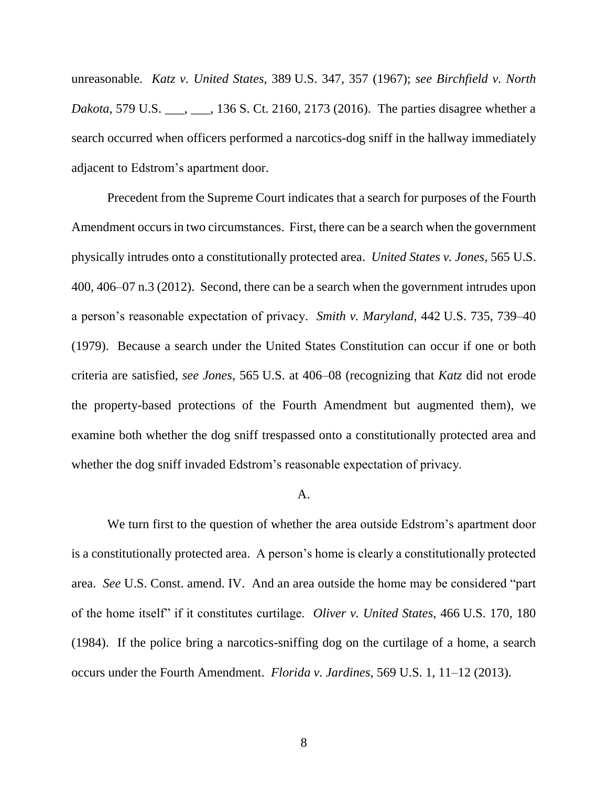unreasonable. *Katz v. United States*, 389 U.S. 347, 357 (1967); *see Birchfield v. North Dakota*, 579 U.S. \_\_\_, \_\_\_, 136 S. Ct. 2160, 2173 (2016). The parties disagree whether a search occurred when officers performed a narcotics-dog sniff in the hallway immediately adjacent to Edstrom's apartment door.

Precedent from the Supreme Court indicates that a search for purposes of the Fourth Amendment occurs in two circumstances. First, there can be a search when the government physically intrudes onto a constitutionally protected area. *United States v. Jones*, 565 U.S. 400, 406–07 n.3 (2012). Second, there can be a search when the government intrudes upon a person's reasonable expectation of privacy. *Smith v. Maryland*, 442 U.S. 735, 739–40 (1979). Because a search under the United States Constitution can occur if one or both criteria are satisfied, *see Jones*, 565 U.S. at 406–08 (recognizing that *Katz* did not erode the property-based protections of the Fourth Amendment but augmented them), we examine both whether the dog sniff trespassed onto a constitutionally protected area and whether the dog sniff invaded Edstrom's reasonable expectation of privacy.

## A.

We turn first to the question of whether the area outside Edstrom's apartment door is a constitutionally protected area. A person's home is clearly a constitutionally protected area. *See* U.S. Const. amend. IV. And an area outside the home may be considered "part of the home itself" if it constitutes curtilage. *Oliver v. United States*, 466 U.S. 170, 180 (1984). If the police bring a narcotics-sniffing dog on the curtilage of a home, a search occurs under the Fourth Amendment. *Florida v. Jardines*, 569 U.S. 1, 11–12 (2013).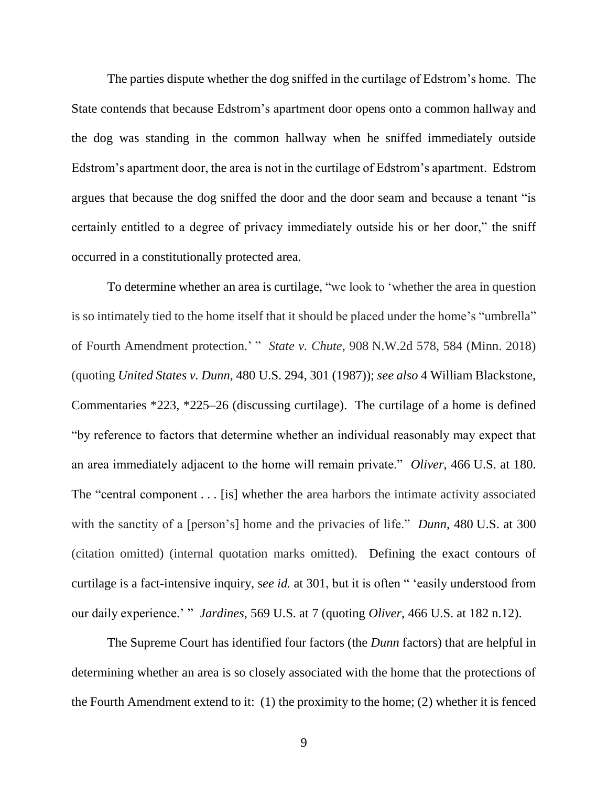The parties dispute whether the dog sniffed in the curtilage of Edstrom's home. The State contends that because Edstrom's apartment door opens onto a common hallway and the dog was standing in the common hallway when he sniffed immediately outside Edstrom's apartment door, the area is not in the curtilage of Edstrom's apartment. Edstrom argues that because the dog sniffed the door and the door seam and because a tenant "is certainly entitled to a degree of privacy immediately outside his or her door," the sniff occurred in a constitutionally protected area.

To determine whether an area is curtilage, "we look to 'whether the area in question is so intimately tied to the home itself that it should be placed under the home's "umbrella" of Fourth Amendment protection.' " *State v. Chute*, 908 N.W.2d 578, 584 (Minn. 2018) (quoting *United States v. Dunn*, 480 U.S. 294, 301 (1987)); *see also* 4 William Blackstone, Commentaries \*223, \*225–26 (discussing curtilage). The curtilage of a home is defined "by reference to factors that determine whether an individual reasonably may expect that an area immediately adjacent to the home will remain private." *Oliver*, 466 U.S. at 180. The "central component . . . [is] whether the area harbors the intimate activity associated with the sanctity of a [person's] home and the privacies of life." *Dunn*, 480 U.S. at 300 (citation omitted) (internal quotation marks omitted). Defining the exact contours of curtilage is a fact-intensive inquiry, s*ee id.* at 301, but it is often " 'easily understood from our daily experience.' " *Jardines*, 569 U.S. at 7 (quoting *Oliver*, 466 U.S. at 182 n.12).

The Supreme Court has identified four factors (the *Dunn* factors) that are helpful in determining whether an area is so closely associated with the home that the protections of the Fourth Amendment extend to it: (1) the proximity to the home; (2) whether it is fenced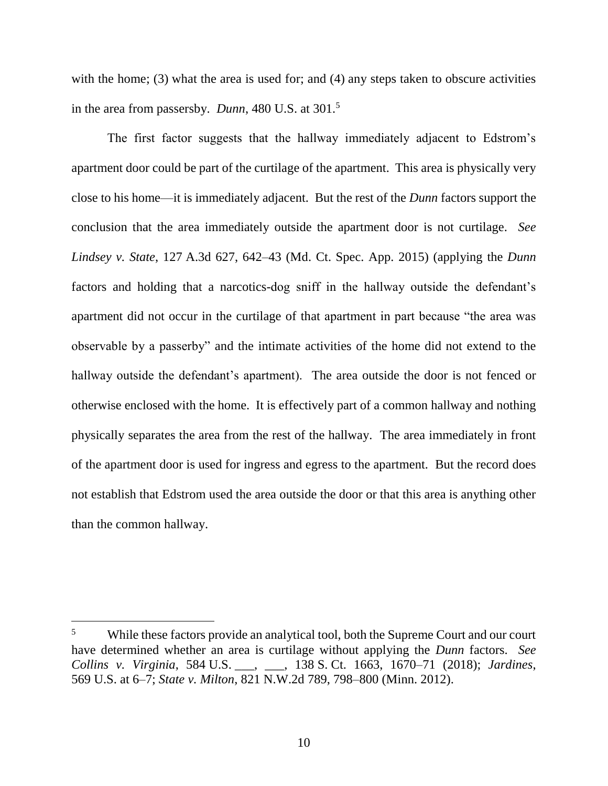with the home; (3) what the area is used for; and (4) any steps taken to obscure activities in the area from passersby. *Dunn*, 480 U.S. at 301.<sup>5</sup>

The first factor suggests that the hallway immediately adjacent to Edstrom's apartment door could be part of the curtilage of the apartment. This area is physically very close to his home—it is immediately adjacent. But the rest of the *Dunn* factors support the conclusion that the area immediately outside the apartment door is not curtilage. *See Lindsey v. State*, 127 A.3d 627, 642–43 (Md. Ct. Spec. App. 2015) (applying the *Dunn* factors and holding that a narcotics-dog sniff in the hallway outside the defendant's apartment did not occur in the curtilage of that apartment in part because "the area was observable by a passerby" and the intimate activities of the home did not extend to the hallway outside the defendant's apartment). The area outside the door is not fenced or otherwise enclosed with the home. It is effectively part of a common hallway and nothing physically separates the area from the rest of the hallway. The area immediately in front of the apartment door is used for ingress and egress to the apartment. But the record does not establish that Edstrom used the area outside the door or that this area is anything other than the common hallway.

 $\overline{a}$ 

<sup>&</sup>lt;sup>5</sup> While these factors provide an analytical tool, both the Supreme Court and our court have determined whether an area is curtilage without applying the *Dunn* factors. *See Collins v. Virginia*, 584 U.S. \_\_\_, \_\_\_, 138 S. Ct. 1663, 1670–71 (2018); *Jardines*, 569 U.S. at 6–7; *State v. Milton*, 821 N.W.2d 789, 798–800 (Minn. 2012).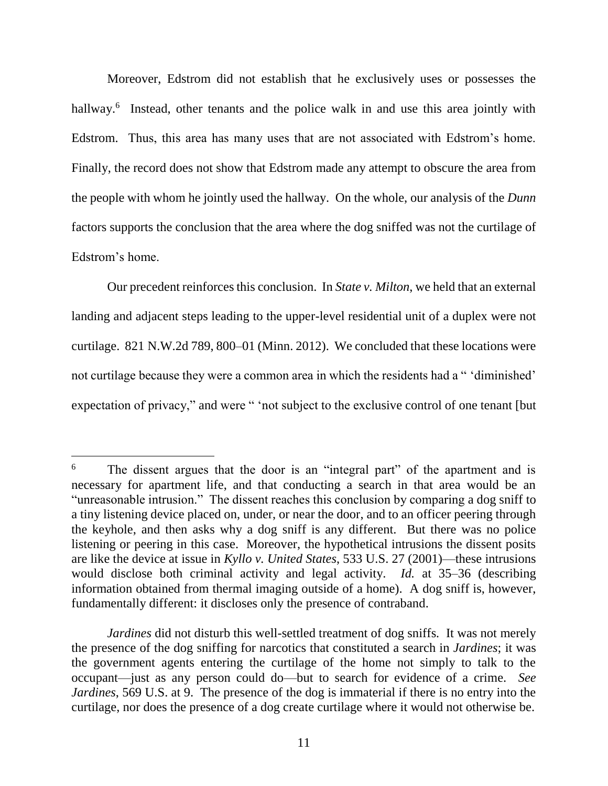Moreover, Edstrom did not establish that he exclusively uses or possesses the hallway.<sup>6</sup> Instead, other tenants and the police walk in and use this area jointly with Edstrom. Thus, this area has many uses that are not associated with Edstrom's home. Finally, the record does not show that Edstrom made any attempt to obscure the area from the people with whom he jointly used the hallway. On the whole, our analysis of the *Dunn* factors supports the conclusion that the area where the dog sniffed was not the curtilage of Edstrom's home.

Our precedent reinforces this conclusion. In *State v. Milton*, we held that an external landing and adjacent steps leading to the upper-level residential unit of a duplex were not curtilage. 821 N.W.2d 789, 800–01 (Minn. 2012). We concluded that these locations were not curtilage because they were a common area in which the residents had a " 'diminished' expectation of privacy," and were " 'not subject to the exclusive control of one tenant [but

<sup>&</sup>lt;sup>6</sup> The dissent argues that the door is an "integral part" of the apartment and is necessary for apartment life, and that conducting a search in that area would be an "unreasonable intrusion." The dissent reaches this conclusion by comparing a dog sniff to a tiny listening device placed on, under, or near the door, and to an officer peering through the keyhole, and then asks why a dog sniff is any different. But there was no police listening or peering in this case. Moreover, the hypothetical intrusions the dissent posits are like the device at issue in *Kyllo v. United States*, 533 U.S. 27 (2001)—these intrusions would disclose both criminal activity and legal activity. *Id.* at 35–36 (describing information obtained from thermal imaging outside of a home). A dog sniff is, however, fundamentally different: it discloses only the presence of contraband.

*Jardines* did not disturb this well-settled treatment of dog sniffs*.* It was not merely the presence of the dog sniffing for narcotics that constituted a search in *Jardines*; it was the government agents entering the curtilage of the home not simply to talk to the occupant—just as any person could do—but to search for evidence of a crime. *See Jardines*, 569 U.S. at 9. The presence of the dog is immaterial if there is no entry into the curtilage, nor does the presence of a dog create curtilage where it would not otherwise be.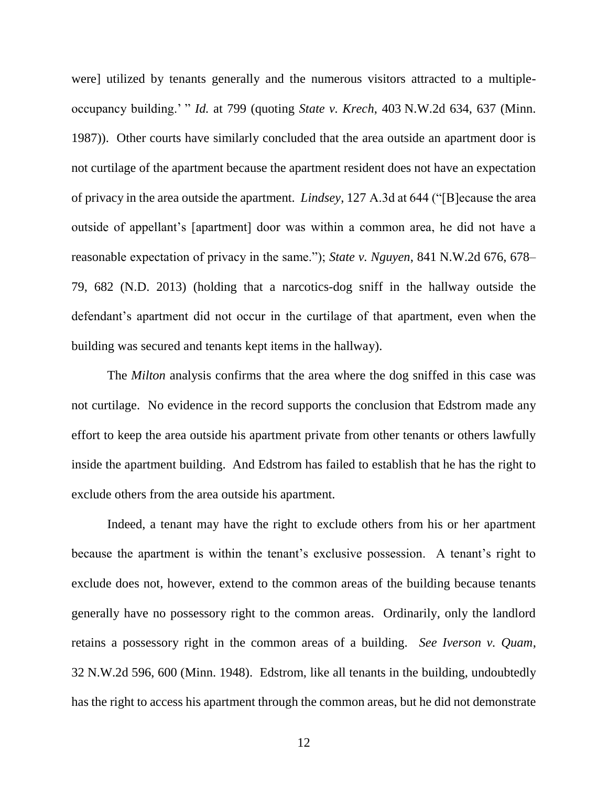were] utilized by tenants generally and the numerous visitors attracted to a multipleoccupancy building.' " *Id.* at 799 (quoting *State v. Krech*, 403 N.W.2d 634, 637 (Minn. 1987)). Other courts have similarly concluded that the area outside an apartment door is not curtilage of the apartment because the apartment resident does not have an expectation of privacy in the area outside the apartment. *Lindsey*, 127 A.3d at 644 ("[B]ecause the area outside of appellant's [apartment] door was within a common area, he did not have a reasonable expectation of privacy in the same."); *State v. Nguyen*, 841 N.W.2d 676, 678– 79, 682 (N.D. 2013) (holding that a narcotics-dog sniff in the hallway outside the defendant's apartment did not occur in the curtilage of that apartment, even when the building was secured and tenants kept items in the hallway).

The *Milton* analysis confirms that the area where the dog sniffed in this case was not curtilage. No evidence in the record supports the conclusion that Edstrom made any effort to keep the area outside his apartment private from other tenants or others lawfully inside the apartment building. And Edstrom has failed to establish that he has the right to exclude others from the area outside his apartment.

Indeed, a tenant may have the right to exclude others from his or her apartment because the apartment is within the tenant's exclusive possession. A tenant's right to exclude does not, however, extend to the common areas of the building because tenants generally have no possessory right to the common areas. Ordinarily, only the landlord retains a possessory right in the common areas of a building. *See Iverson v. Quam*, 32 N.W.2d 596, 600 (Minn. 1948). Edstrom, like all tenants in the building, undoubtedly has the right to access his apartment through the common areas, but he did not demonstrate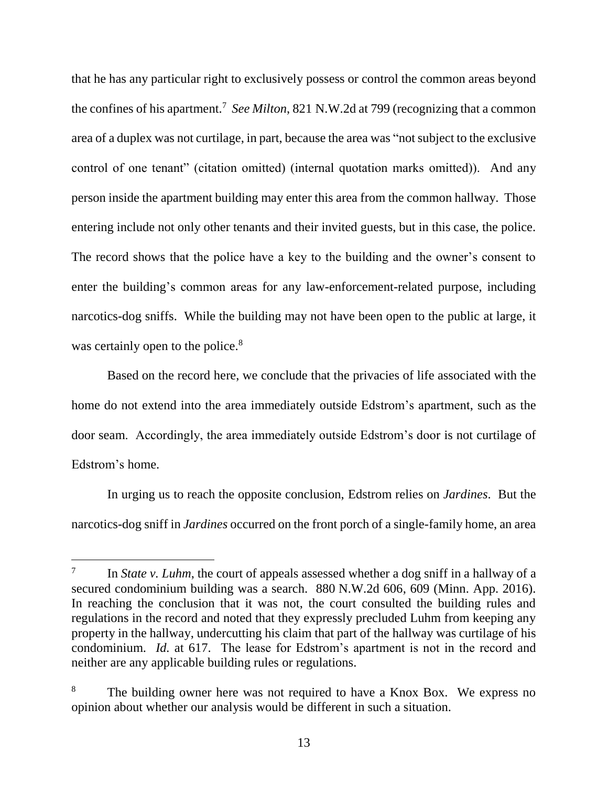that he has any particular right to exclusively possess or control the common areas beyond the confines of his apartment.<sup>7</sup> *See Milton*, 821 N.W.2d at 799 (recognizing that a common area of a duplex was not curtilage, in part, because the area was "not subject to the exclusive control of one tenant" (citation omitted) (internal quotation marks omitted)). And any person inside the apartment building may enter this area from the common hallway. Those entering include not only other tenants and their invited guests, but in this case, the police. The record shows that the police have a key to the building and the owner's consent to enter the building's common areas for any law-enforcement-related purpose, including narcotics-dog sniffs. While the building may not have been open to the public at large, it was certainly open to the police.<sup>8</sup>

Based on the record here, we conclude that the privacies of life associated with the home do not extend into the area immediately outside Edstrom's apartment, such as the door seam. Accordingly, the area immediately outside Edstrom's door is not curtilage of Edstrom's home.

In urging us to reach the opposite conclusion, Edstrom relies on *Jardines*. But the narcotics-dog sniff in *Jardines* occurred on the front porch of a single-family home, an area

<sup>7</sup> In *State v. Luhm*, the court of appeals assessed whether a dog sniff in a hallway of a secured condominium building was a search. 880 N.W.2d 606, 609 (Minn. App. 2016). In reaching the conclusion that it was not, the court consulted the building rules and regulations in the record and noted that they expressly precluded Luhm from keeping any property in the hallway, undercutting his claim that part of the hallway was curtilage of his condominium. *Id.* at 617. The lease for Edstrom's apartment is not in the record and neither are any applicable building rules or regulations.

<sup>&</sup>lt;sup>8</sup> The building owner here was not required to have a Knox Box. We express no opinion about whether our analysis would be different in such a situation.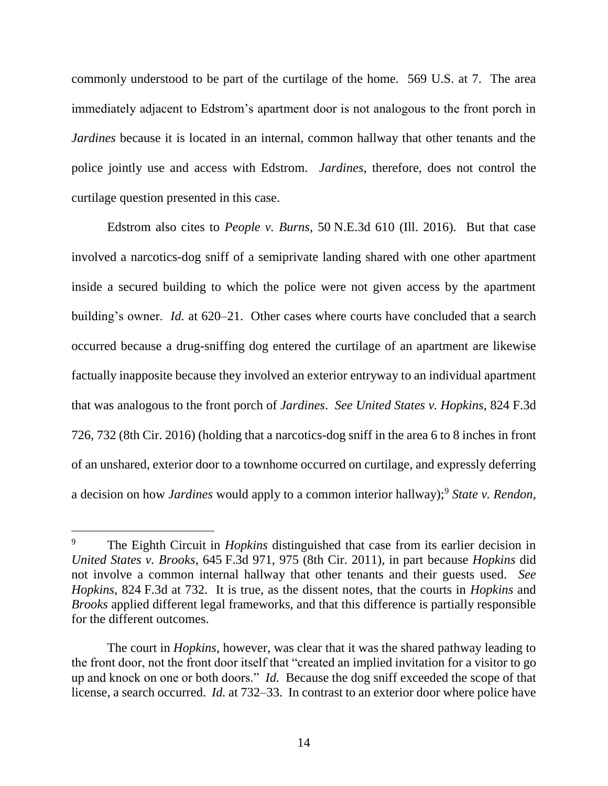commonly understood to be part of the curtilage of the home. 569 U.S. at 7. The area immediately adjacent to Edstrom's apartment door is not analogous to the front porch in *Jardines* because it is located in an internal, common hallway that other tenants and the police jointly use and access with Edstrom. *Jardines*, therefore, does not control the curtilage question presented in this case.

Edstrom also cites to *People v. Burns*, 50 N.E.3d 610 (Ill. 2016). But that case involved a narcotics-dog sniff of a semiprivate landing shared with one other apartment inside a secured building to which the police were not given access by the apartment building's owner. *Id.* at 620–21. Other cases where courts have concluded that a search occurred because a drug-sniffing dog entered the curtilage of an apartment are likewise factually inapposite because they involved an exterior entryway to an individual apartment that was analogous to the front porch of *Jardines*. *See United States v. Hopkins*, 824 F.3d 726, 732 (8th Cir. 2016) (holding that a narcotics-dog sniff in the area 6 to 8 inches in front of an unshared, exterior door to a townhome occurred on curtilage, and expressly deferring a decision on how *Jardines* would apply to a common interior hallway);<sup>9</sup> *State v. Rendon*,

<sup>9</sup> The Eighth Circuit in *Hopkins* distinguished that case from its earlier decision in *United States v. Brooks*, 645 F.3d 971, 975 (8th Cir. 2011), in part because *Hopkins* did not involve a common internal hallway that other tenants and their guests used. *See Hopkins*, 824 F.3d at 732. It is true, as the dissent notes, that the courts in *Hopkins* and *Brooks* applied different legal frameworks, and that this difference is partially responsible for the different outcomes.

The court in *Hopkins*, however, was clear that it was the shared pathway leading to the front door, not the front door itself that "created an implied invitation for a visitor to go up and knock on one or both doors." *Id.* Because the dog sniff exceeded the scope of that license, a search occurred. *Id.* at 732–33.In contrast to an exterior door where police have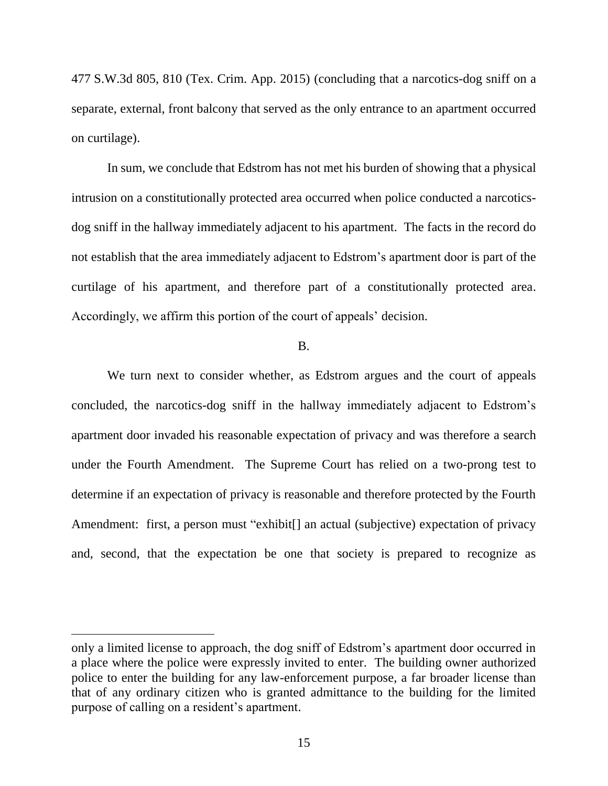477 S.W.3d 805, 810 (Tex. Crim. App. 2015) (concluding that a narcotics-dog sniff on a separate, external, front balcony that served as the only entrance to an apartment occurred on curtilage).

In sum, we conclude that Edstrom has not met his burden of showing that a physical intrusion on a constitutionally protected area occurred when police conducted a narcoticsdog sniff in the hallway immediately adjacent to his apartment. The facts in the record do not establish that the area immediately adjacent to Edstrom's apartment door is part of the curtilage of his apartment, and therefore part of a constitutionally protected area. Accordingly, we affirm this portion of the court of appeals' decision.

## B.

We turn next to consider whether, as Edstrom argues and the court of appeals concluded, the narcotics-dog sniff in the hallway immediately adjacent to Edstrom's apartment door invaded his reasonable expectation of privacy and was therefore a search under the Fourth Amendment. The Supreme Court has relied on a two-prong test to determine if an expectation of privacy is reasonable and therefore protected by the Fourth Amendment: first, a person must "exhibit[] an actual (subjective) expectation of privacy and, second, that the expectation be one that society is prepared to recognize as

only a limited license to approach, the dog sniff of Edstrom's apartment door occurred in a place where the police were expressly invited to enter. The building owner authorized police to enter the building for any law-enforcement purpose, a far broader license than that of any ordinary citizen who is granted admittance to the building for the limited purpose of calling on a resident's apartment.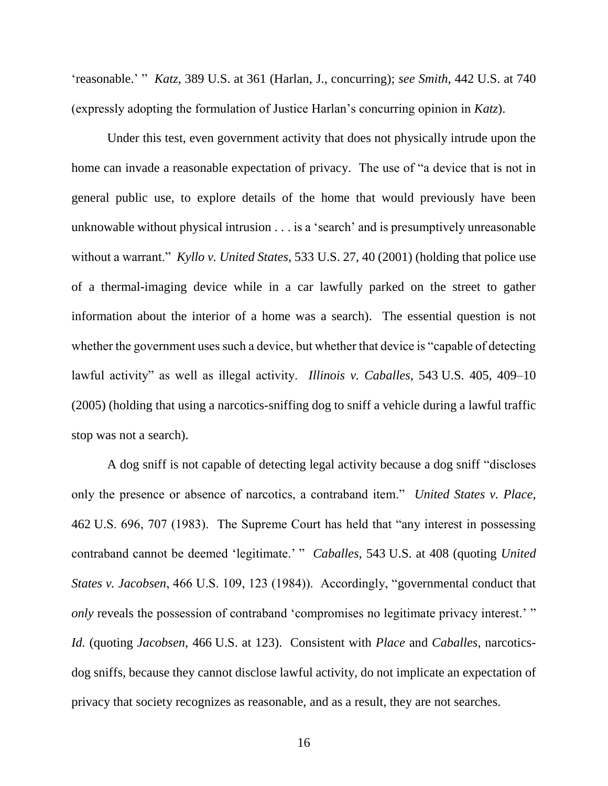'reasonable.' " *Katz*, 389 U.S. at 361 (Harlan, J., concurring); *see Smith*, 442 U.S. at 740 (expressly adopting the formulation of Justice Harlan's concurring opinion in *Katz*).

Under this test, even government activity that does not physically intrude upon the home can invade a reasonable expectation of privacy. The use of "a device that is not in general public use, to explore details of the home that would previously have been unknowable without physical intrusion . . . is a 'search' and is presumptively unreasonable without a warrant." *Kyllo v. United States*, 533 U.S. 27, 40 (2001) (holding that police use of a thermal-imaging device while in a car lawfully parked on the street to gather information about the interior of a home was a search). The essential question is not whether the government uses such a device, but whether that device is "capable of detecting lawful activity" as well as illegal activity. *Illinois v. Caballes*, 543 U.S. 405, 409–10 (2005) (holding that using a narcotics-sniffing dog to sniff a vehicle during a lawful traffic stop was not a search).

A dog sniff is not capable of detecting legal activity because a dog sniff "discloses only the presence or absence of narcotics, a contraband item." *United States v. Place*, 462 U.S. 696, 707 (1983). The Supreme Court has held that "any interest in possessing contraband cannot be deemed 'legitimate.' " *Caballes*, 543 U.S. at 408 (quoting *United States v. Jacobsen*, 466 U.S. 109, 123 (1984)). Accordingly, "governmental conduct that *only* reveals the possession of contraband 'compromises no legitimate privacy interest.' " *Id.* (quoting *Jacobsen*, 466 U.S. at 123). Consistent with *Place* and *Caballes*, narcoticsdog sniffs, because they cannot disclose lawful activity, do not implicate an expectation of privacy that society recognizes as reasonable, and as a result, they are not searches.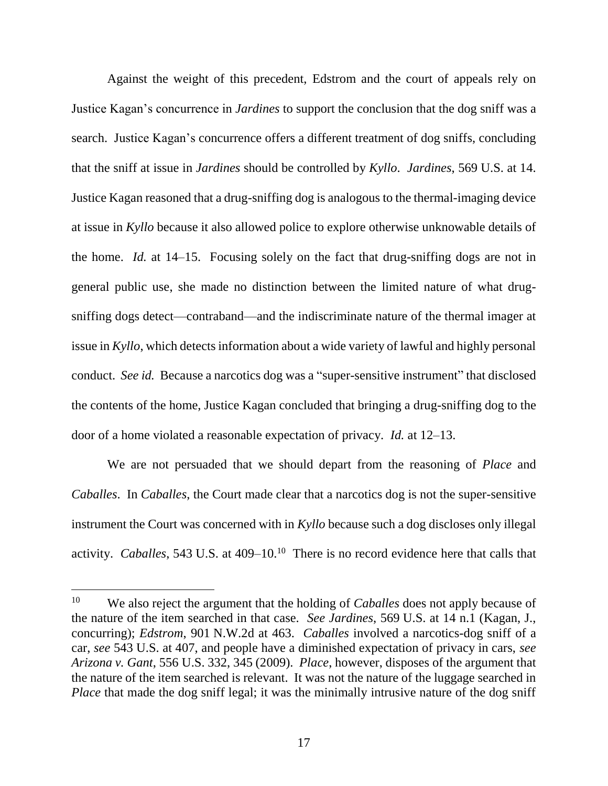Against the weight of this precedent, Edstrom and the court of appeals rely on Justice Kagan's concurrence in *Jardines* to support the conclusion that the dog sniff was a search. Justice Kagan's concurrence offers a different treatment of dog sniffs, concluding that the sniff at issue in *Jardines* should be controlled by *Kyllo*. *Jardines*, 569 U.S. at 14. Justice Kagan reasoned that a drug-sniffing dog is analogous to the thermal-imaging device at issue in *Kyllo* because it also allowed police to explore otherwise unknowable details of the home. *Id.* at 14–15. Focusing solely on the fact that drug-sniffing dogs are not in general public use, she made no distinction between the limited nature of what drugsniffing dogs detect—contraband—and the indiscriminate nature of the thermal imager at issue in *Kyllo*, which detects information about a wide variety of lawful and highly personal conduct. *See id.* Because a narcotics dog was a "super-sensitive instrument" that disclosed the contents of the home, Justice Kagan concluded that bringing a drug-sniffing dog to the door of a home violated a reasonable expectation of privacy. *Id.* at 12–13.

We are not persuaded that we should depart from the reasoning of *Place* and *Caballes*. In *Caballes*, the Court made clear that a narcotics dog is not the super-sensitive instrument the Court was concerned with in *Kyllo* because such a dog discloses only illegal activity. *Caballes*, 543 U.S. at 409–10.<sup>10</sup> There is no record evidence here that calls that

<sup>10</sup> We also reject the argument that the holding of *Caballes* does not apply because of the nature of the item searched in that case. *See Jardines*, 569 U.S. at 14 n.1 (Kagan, J., concurring); *Edstrom*, 901 N.W.2d at 463. *Caballes* involved a narcotics-dog sniff of a car, *see* 543 U.S. at 407, and people have a diminished expectation of privacy in cars, *see Arizona v. Gant*, 556 U.S. 332, 345 (2009). *Place*, however, disposes of the argument that the nature of the item searched is relevant. It was not the nature of the luggage searched in *Place* that made the dog sniff legal; it was the minimally intrusive nature of the dog sniff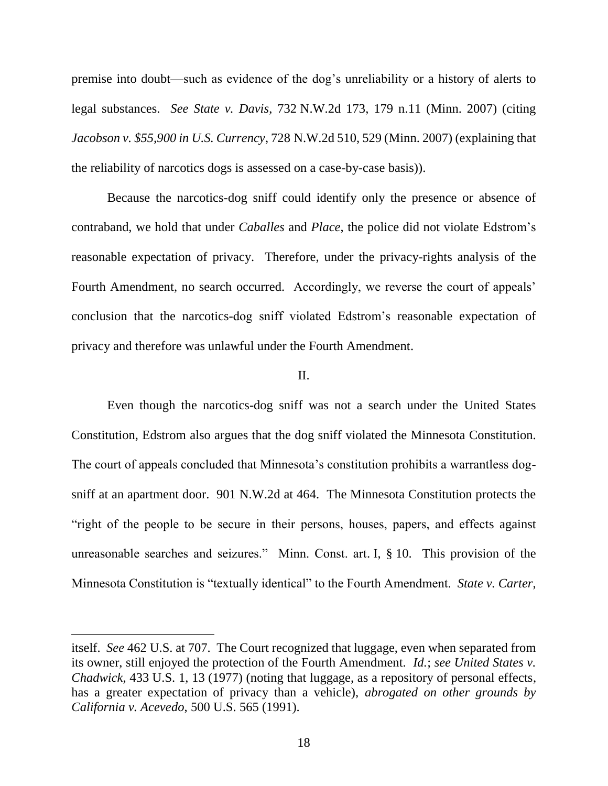premise into doubt—such as evidence of the dog's unreliability or a history of alerts to legal substances. *See State v. Davis*, 732 N.W.2d 173, 179 n.11 (Minn. 2007) (citing *Jacobson v. \$55,900 in U.S. Currency*, 728 N.W.2d 510, 529 (Minn. 2007) (explaining that the reliability of narcotics dogs is assessed on a case-by-case basis)).

Because the narcotics-dog sniff could identify only the presence or absence of contraband, we hold that under *Caballes* and *Place*, the police did not violate Edstrom's reasonable expectation of privacy. Therefore, under the privacy-rights analysis of the Fourth Amendment, no search occurred. Accordingly, we reverse the court of appeals' conclusion that the narcotics-dog sniff violated Edstrom's reasonable expectation of privacy and therefore was unlawful under the Fourth Amendment.

#### II.

Even though the narcotics-dog sniff was not a search under the United States Constitution, Edstrom also argues that the dog sniff violated the Minnesota Constitution. The court of appeals concluded that Minnesota's constitution prohibits a warrantless dogsniff at an apartment door. 901 N.W.2d at 464. The Minnesota Constitution protects the "right of the people to be secure in their persons, houses, papers, and effects against unreasonable searches and seizures." Minn. Const. art. I, § 10. This provision of the Minnesota Constitution is "textually identical" to the Fourth Amendment. *State v. Carter*,

itself. *See* 462 U.S. at 707. The Court recognized that luggage, even when separated from its owner, still enjoyed the protection of the Fourth Amendment. *Id.*; *see United States v. Chadwick*, 433 U.S. 1, 13 (1977) (noting that luggage, as a repository of personal effects, has a greater expectation of privacy than a vehicle), *abrogated on other grounds by California v. Acevedo*, 500 U.S. 565 (1991).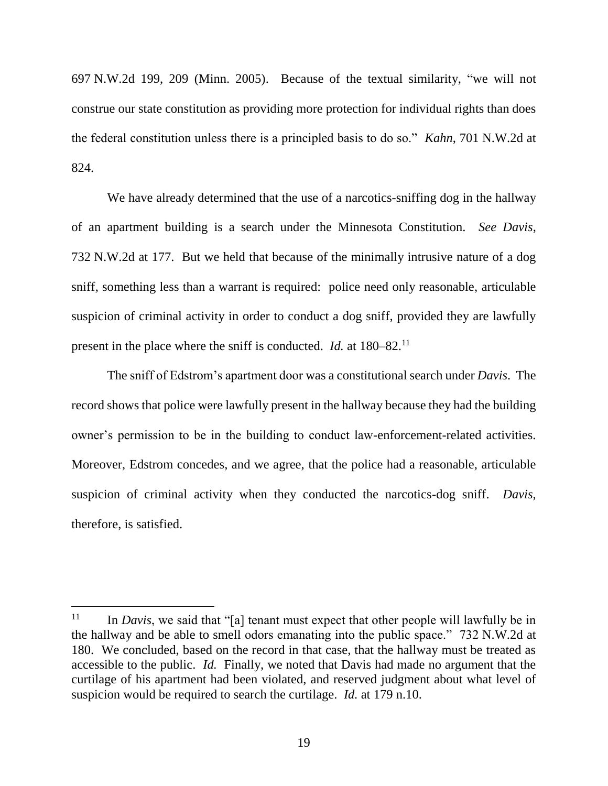697 N.W.2d 199, 209 (Minn. 2005). Because of the textual similarity, "we will not construe our state constitution as providing more protection for individual rights than does the federal constitution unless there is a principled basis to do so." *Kahn*, 701 N.W.2d at 824.

We have already determined that the use of a narcotics-sniffing dog in the hallway of an apartment building is a search under the Minnesota Constitution. *See Davis*, 732 N.W.2d at 177. But we held that because of the minimally intrusive nature of a dog sniff, something less than a warrant is required: police need only reasonable, articulable suspicion of criminal activity in order to conduct a dog sniff, provided they are lawfully present in the place where the sniff is conducted. *Id.* at 180–82.<sup>11</sup>

The sniff of Edstrom's apartment door was a constitutional search under *Davis*. The record shows that police were lawfully present in the hallway because they had the building owner's permission to be in the building to conduct law-enforcement-related activities. Moreover, Edstrom concedes, and we agree, that the police had a reasonable, articulable suspicion of criminal activity when they conducted the narcotics-dog sniff. *Davis*, therefore, is satisfied.

 $11$  In *Davis*, we said that "[a] tenant must expect that other people will lawfully be in the hallway and be able to smell odors emanating into the public space." 732 N.W.2d at 180. We concluded, based on the record in that case, that the hallway must be treated as accessible to the public. *Id.* Finally, we noted that Davis had made no argument that the curtilage of his apartment had been violated, and reserved judgment about what level of suspicion would be required to search the curtilage. *Id.* at 179 n.10.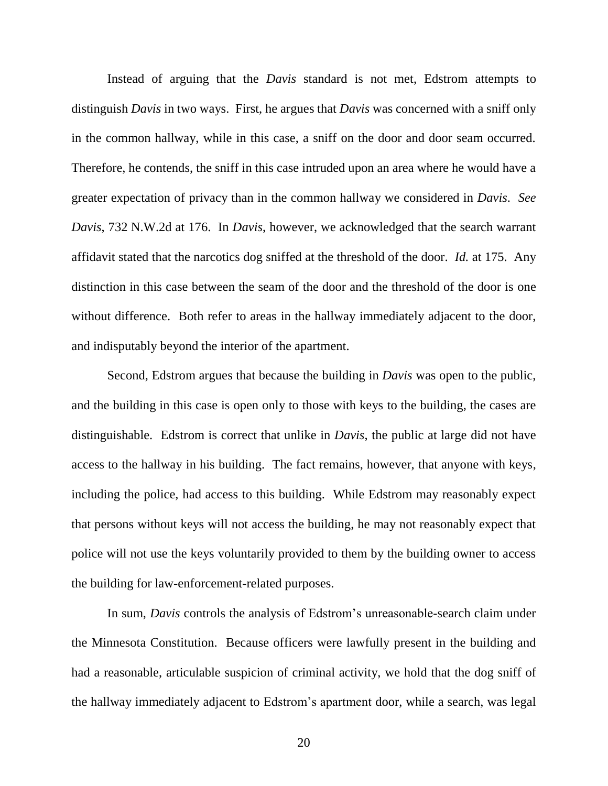Instead of arguing that the *Davis* standard is not met, Edstrom attempts to distinguish *Davis* in two ways. First, he argues that *Davis* was concerned with a sniff only in the common hallway, while in this case, a sniff on the door and door seam occurred. Therefore, he contends, the sniff in this case intruded upon an area where he would have a greater expectation of privacy than in the common hallway we considered in *Davis*. *See Davis*, 732 N.W.2d at 176. In *Davis*, however, we acknowledged that the search warrant affidavit stated that the narcotics dog sniffed at the threshold of the door. *Id.* at 175. Any distinction in this case between the seam of the door and the threshold of the door is one without difference. Both refer to areas in the hallway immediately adjacent to the door, and indisputably beyond the interior of the apartment.

Second, Edstrom argues that because the building in *Davis* was open to the public, and the building in this case is open only to those with keys to the building, the cases are distinguishable. Edstrom is correct that unlike in *Davis*, the public at large did not have access to the hallway in his building. The fact remains, however, that anyone with keys, including the police, had access to this building. While Edstrom may reasonably expect that persons without keys will not access the building, he may not reasonably expect that police will not use the keys voluntarily provided to them by the building owner to access the building for law-enforcement-related purposes.

In sum, *Davis* controls the analysis of Edstrom's unreasonable-search claim under the Minnesota Constitution. Because officers were lawfully present in the building and had a reasonable, articulable suspicion of criminal activity, we hold that the dog sniff of the hallway immediately adjacent to Edstrom's apartment door, while a search, was legal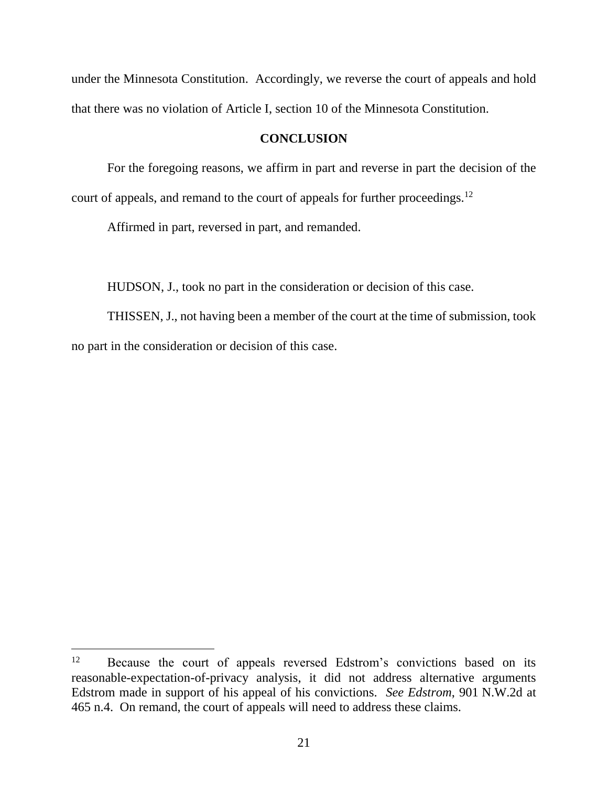under the Minnesota Constitution. Accordingly, we reverse the court of appeals and hold that there was no violation of Article I, section 10 of the Minnesota Constitution.

# **CONCLUSION**

For the foregoing reasons, we affirm in part and reverse in part the decision of the court of appeals, and remand to the court of appeals for further proceedings.<sup>12</sup>

Affirmed in part, reversed in part, and remanded.

HUDSON, J., took no part in the consideration or decision of this case.

THISSEN, J., not having been a member of the court at the time of submission, took no part in the consideration or decision of this case.

<sup>&</sup>lt;sup>12</sup> Because the court of appeals reversed Edstrom's convictions based on its reasonable-expectation-of-privacy analysis, it did not address alternative arguments Edstrom made in support of his appeal of his convictions. *See Edstrom*, 901 N.W.2d at 465 n.4. On remand, the court of appeals will need to address these claims.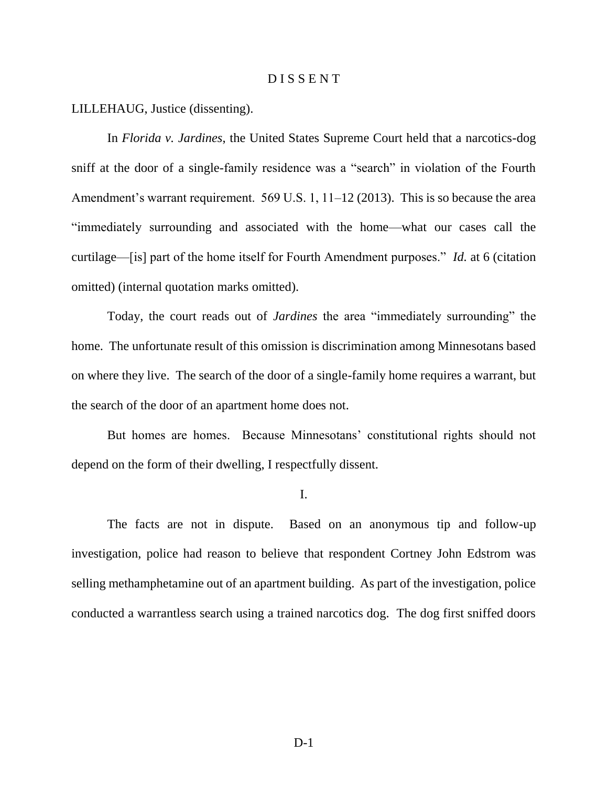## D I S S E N T

LILLEHAUG, Justice (dissenting).

In *Florida v. Jardines*, the United States Supreme Court held that a narcotics-dog sniff at the door of a single-family residence was a "search" in violation of the Fourth Amendment's warrant requirement. 569 U.S. 1, 11–12 (2013). This is so because the area "immediately surrounding and associated with the home—what our cases call the curtilage—[is] part of the home itself for Fourth Amendment purposes." *Id.* at 6 (citation omitted) (internal quotation marks omitted).

Today, the court reads out of *Jardines* the area "immediately surrounding" the home. The unfortunate result of this omission is discrimination among Minnesotans based on where they live. The search of the door of a single-family home requires a warrant, but the search of the door of an apartment home does not.

But homes are homes. Because Minnesotans' constitutional rights should not depend on the form of their dwelling, I respectfully dissent.

I.

The facts are not in dispute. Based on an anonymous tip and follow-up investigation, police had reason to believe that respondent Cortney John Edstrom was selling methamphetamine out of an apartment building. As part of the investigation, police conducted a warrantless search using a trained narcotics dog. The dog first sniffed doors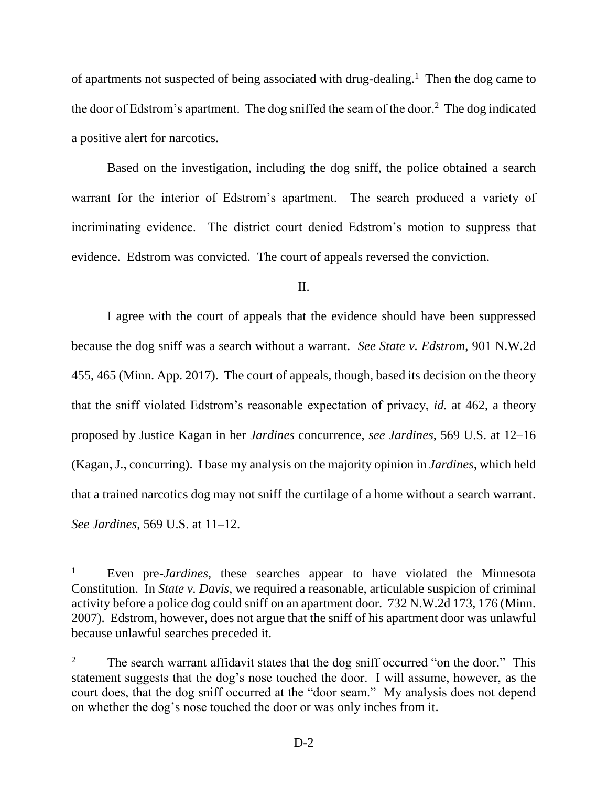of apartments not suspected of being associated with drug-dealing.<sup>1</sup> Then the dog came to the door of Edstrom's apartment. The dog sniffed the seam of the door.<sup>2</sup> The dog indicated a positive alert for narcotics.

Based on the investigation, including the dog sniff, the police obtained a search warrant for the interior of Edstrom's apartment. The search produced a variety of incriminating evidence. The district court denied Edstrom's motion to suppress that evidence. Edstrom was convicted. The court of appeals reversed the conviction.

II.

I agree with the court of appeals that the evidence should have been suppressed because the dog sniff was a search without a warrant. *See State v. Edstrom*, 901 N.W.2d 455, 465 (Minn. App. 2017). The court of appeals, though, based its decision on the theory that the sniff violated Edstrom's reasonable expectation of privacy, *id.* at 462, a theory proposed by Justice Kagan in her *Jardines* concurrence, *see Jardines*, 569 U.S. at 12–16 (Kagan, J., concurring). I base my analysis on the majority opinion in *Jardines*, which held that a trained narcotics dog may not sniff the curtilage of a home without a search warrant. *See Jardines*, 569 U.S. at 11–12.

<sup>1</sup> Even pre-*Jardines*, these searches appear to have violated the Minnesota Constitution. In *State v. Davis*, we required a reasonable, articulable suspicion of criminal activity before a police dog could sniff on an apartment door. 732 N.W.2d 173, 176 (Minn. 2007). Edstrom, however, does not argue that the sniff of his apartment door was unlawful because unlawful searches preceded it.

<sup>&</sup>lt;sup>2</sup> The search warrant affidavit states that the dog sniff occurred "on the door." This statement suggests that the dog's nose touched the door. I will assume, however, as the court does, that the dog sniff occurred at the "door seam." My analysis does not depend on whether the dog's nose touched the door or was only inches from it.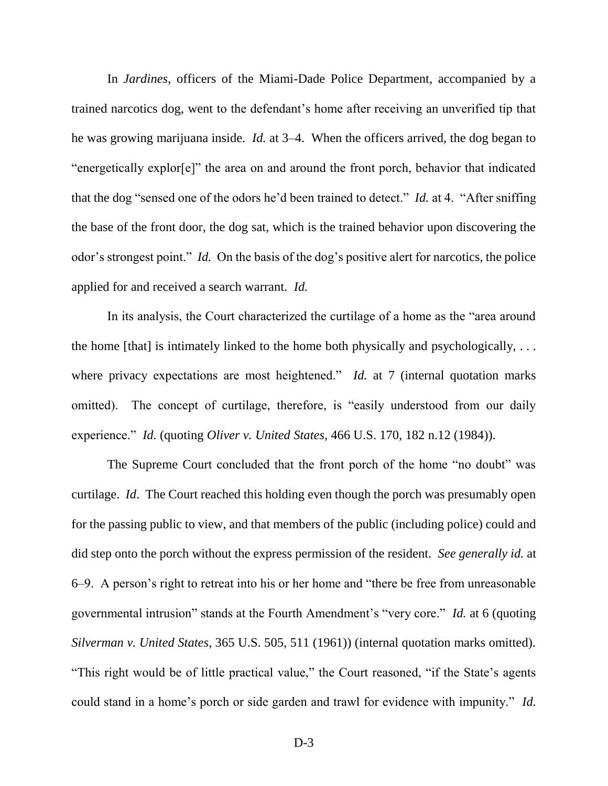In *Jardines*, officers of the Miami-Dade Police Department, accompanied by a trained narcotics dog, went to the defendant's home after receiving an unverified tip that he was growing marijuana inside. *Id.* at 3–4. When the officers arrived, the dog began to "energetically explor[e]" the area on and around the front porch, behavior that indicated that the dog "sensed one of the odors he'd been trained to detect." *Id.* at 4. "After sniffing the base of the front door, the dog sat, which is the trained behavior upon discovering the odor's strongest point." *Id.* On the basis of the dog's positive alert for narcotics, the police applied for and received a search warrant. *Id.*

In its analysis, the Court characterized the curtilage of a home as the "area around the home [that] is intimately linked to the home both physically and psychologically,  $\dots$ where privacy expectations are most heightened." *Id.* at 7 (internal quotation marks omitted). The concept of curtilage, therefore, is "easily understood from our daily experience." *Id.* (quoting *Oliver v. United States*, 466 U.S. 170, 182 n.12 (1984)).

The Supreme Court concluded that the front porch of the home "no doubt" was curtilage. *Id*. The Court reached this holding even though the porch was presumably open for the passing public to view, and that members of the public (including police) could and did step onto the porch without the express permission of the resident. *See generally id.* at 6–9. A person's right to retreat into his or her home and "there be free from unreasonable governmental intrusion" stands at the Fourth Amendment's "very core." *Id.* at 6 (quoting *Silverman v. United States*, 365 U.S. 505, 511 (1961)) (internal quotation marks omitted). "This right would be of little practical value," the Court reasoned, "if the State's agents could stand in a home's porch or side garden and trawl for evidence with impunity." *Id.*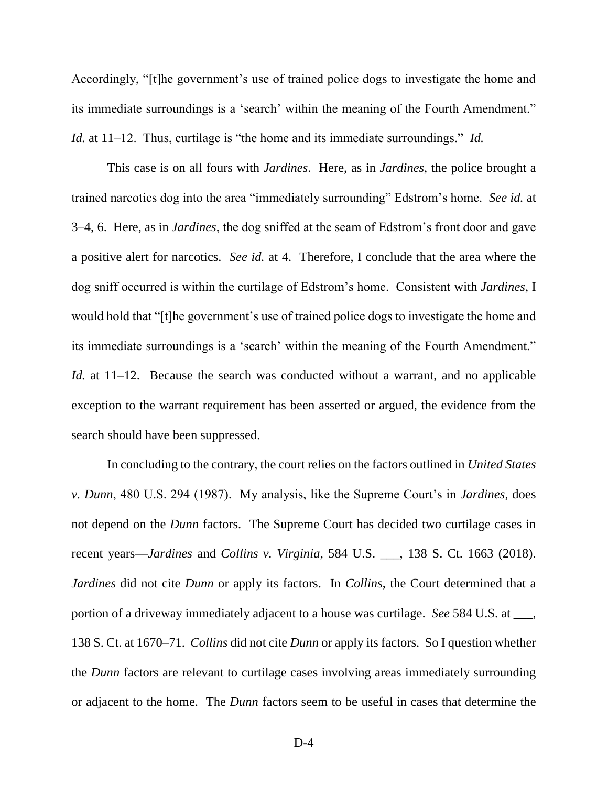Accordingly, "[t]he government's use of trained police dogs to investigate the home and its immediate surroundings is a 'search' within the meaning of the Fourth Amendment." *Id.* at 11–12. Thus, curtilage is "the home and its immediate surroundings." *Id.*

This case is on all fours with *Jardines*. Here, as in *Jardines*, the police brought a trained narcotics dog into the area "immediately surrounding" Edstrom's home. *See id.* at 3–4, 6. Here, as in *Jardines*, the dog sniffed at the seam of Edstrom's front door and gave a positive alert for narcotics. *See id.* at 4. Therefore, I conclude that the area where the dog sniff occurred is within the curtilage of Edstrom's home. Consistent with *Jardines*, I would hold that "[t]he government's use of trained police dogs to investigate the home and its immediate surroundings is a 'search' within the meaning of the Fourth Amendment." *Id.* at 11–12. Because the search was conducted without a warrant, and no applicable exception to the warrant requirement has been asserted or argued, the evidence from the search should have been suppressed.

In concluding to the contrary, the court relies on the factors outlined in *United States v. Dunn*, 480 U.S. 294 (1987). My analysis, like the Supreme Court's in *Jardines*, does not depend on the *Dunn* factors. The Supreme Court has decided two curtilage cases in recent years—*Jardines* and *Collins v. Virginia*, 584 U.S. \_\_\_, 138 S. Ct. 1663 (2018). *Jardines* did not cite *Dunn* or apply its factors. In *Collins*, the Court determined that a portion of a driveway immediately adjacent to a house was curtilage. *See* 584 U.S. at \_\_\_, 138 S. Ct. at 1670–71. *Collins* did not cite *Dunn* or apply its factors. So I question whether the *Dunn* factors are relevant to curtilage cases involving areas immediately surrounding or adjacent to the home. The *Dunn* factors seem to be useful in cases that determine the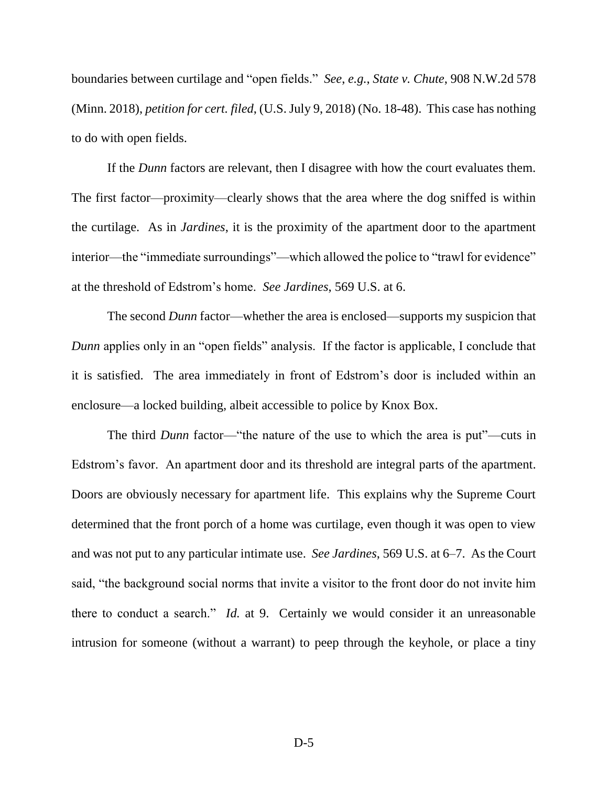boundaries between curtilage and "open fields." *See*, *e.g.*, *State v. Chute*, 908 N.W.2d 578 (Minn. 2018), *petition for cert. filed*, (U.S. July 9, 2018) (No. 18-48). This case has nothing to do with open fields.

If the *Dunn* factors are relevant, then I disagree with how the court evaluates them. The first factor—proximity—clearly shows that the area where the dog sniffed is within the curtilage. As in *Jardines*, it is the proximity of the apartment door to the apartment interior—the "immediate surroundings"—which allowed the police to "trawl for evidence" at the threshold of Edstrom's home. *See Jardines*, 569 U.S. at 6.

The second *Dunn* factor—whether the area is enclosed—supports my suspicion that *Dunn* applies only in an "open fields" analysis. If the factor is applicable, I conclude that it is satisfied. The area immediately in front of Edstrom's door is included within an enclosure—a locked building, albeit accessible to police by Knox Box.

The third *Dunn* factor—"the nature of the use to which the area is put"—cuts in Edstrom's favor. An apartment door and its threshold are integral parts of the apartment. Doors are obviously necessary for apartment life. This explains why the Supreme Court determined that the front porch of a home was curtilage, even though it was open to view and was not put to any particular intimate use. *See Jardines*, 569 U.S. at 6–7. As the Court said, "the background social norms that invite a visitor to the front door do not invite him there to conduct a search." *Id.* at 9. Certainly we would consider it an unreasonable intrusion for someone (without a warrant) to peep through the keyhole, or place a tiny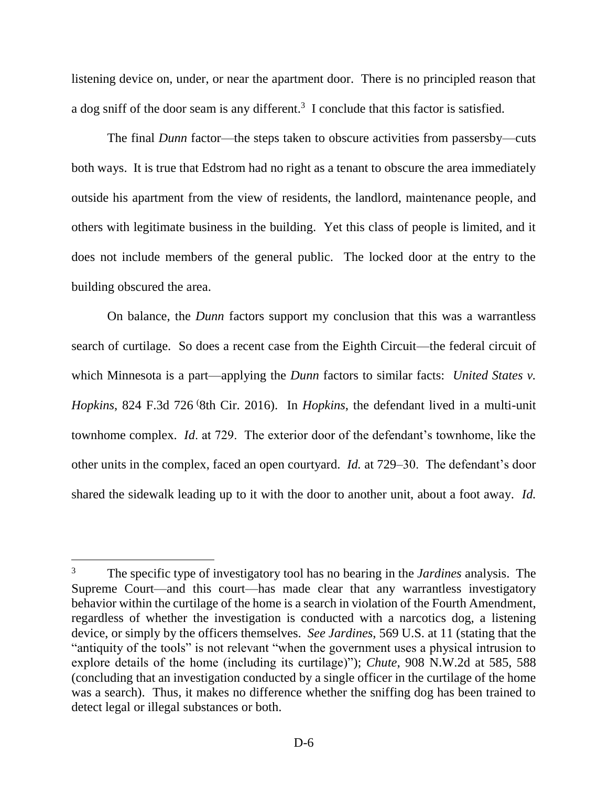listening device on, under, or near the apartment door. There is no principled reason that a dog sniff of the door seam is any different.<sup>3</sup> I conclude that this factor is satisfied.

The final *Dunn* factor—the steps taken to obscure activities from passersby—cuts both ways. It is true that Edstrom had no right as a tenant to obscure the area immediately outside his apartment from the view of residents, the landlord, maintenance people, and others with legitimate business in the building. Yet this class of people is limited, and it does not include members of the general public. The locked door at the entry to the building obscured the area.

On balance, the *Dunn* factors support my conclusion that this was a warrantless search of curtilage. So does a recent case from the Eighth Circuit—the federal circuit of which Minnesota is a part—applying the *Dunn* factors to similar facts: *United States v. Hopkins*, 824 F.3d 726 (8th Cir. 2016). In *Hopkins*, the defendant lived in a multi-unit townhome complex. *Id*. at 729. The exterior door of the defendant's townhome, like the other units in the complex, faced an open courtyard. *Id.* at 729–30. The defendant's door shared the sidewalk leading up to it with the door to another unit, about a foot away. *Id.* 

<sup>3</sup> The specific type of investigatory tool has no bearing in the *Jardines* analysis. The Supreme Court—and this court—has made clear that any warrantless investigatory behavior within the curtilage of the home is a search in violation of the Fourth Amendment, regardless of whether the investigation is conducted with a narcotics dog, a listening device, or simply by the officers themselves. *See Jardines*, 569 U.S. at 11 (stating that the "antiquity of the tools" is not relevant "when the government uses a physical intrusion to explore details of the home (including its curtilage)"); *Chute*, 908 N.W.2d at 585, 588 (concluding that an investigation conducted by a single officer in the curtilage of the home was a search). Thus, it makes no difference whether the sniffing dog has been trained to detect legal or illegal substances or both.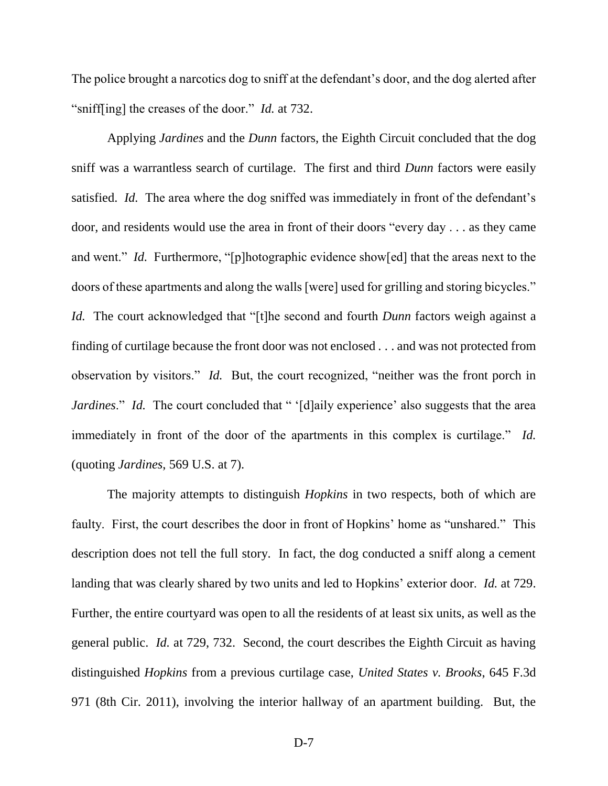The police brought a narcotics dog to sniff at the defendant's door, and the dog alerted after "sniff[ing] the creases of the door." *Id.* at 732.

Applying *Jardines* and the *Dunn* factors, the Eighth Circuit concluded that the dog sniff was a warrantless search of curtilage. The first and third *Dunn* factors were easily satisfied. *Id.* The area where the dog sniffed was immediately in front of the defendant's door, and residents would use the area in front of their doors "every day . . . as they came and went." *Id.* Furthermore, "[p]hotographic evidence show[ed] that the areas next to the doors of these apartments and along the walls [were] used for grilling and storing bicycles." *Id.* The court acknowledged that "[t]he second and fourth *Dunn* factors weigh against a finding of curtilage because the front door was not enclosed . . . and was not protected from observation by visitors." *Id.* But, the court recognized, "neither was the front porch in *Jardines.*" *Id.* The court concluded that " '[d]aily experience' also suggests that the area immediately in front of the door of the apartments in this complex is curtilage." *Id.*  (quoting *Jardines*, 569 U.S. at 7).

The majority attempts to distinguish *Hopkins* in two respects, both of which are faulty. First, the court describes the door in front of Hopkins' home as "unshared." This description does not tell the full story. In fact, the dog conducted a sniff along a cement landing that was clearly shared by two units and led to Hopkins' exterior door. *Id.* at 729. Further, the entire courtyard was open to all the residents of at least six units, as well as the general public. *Id.* at 729, 732. Second, the court describes the Eighth Circuit as having distinguished *Hopkins* from a previous curtilage case, *United States v. Brooks*, 645 F.3d 971 (8th Cir. 2011), involving the interior hallway of an apartment building. But, the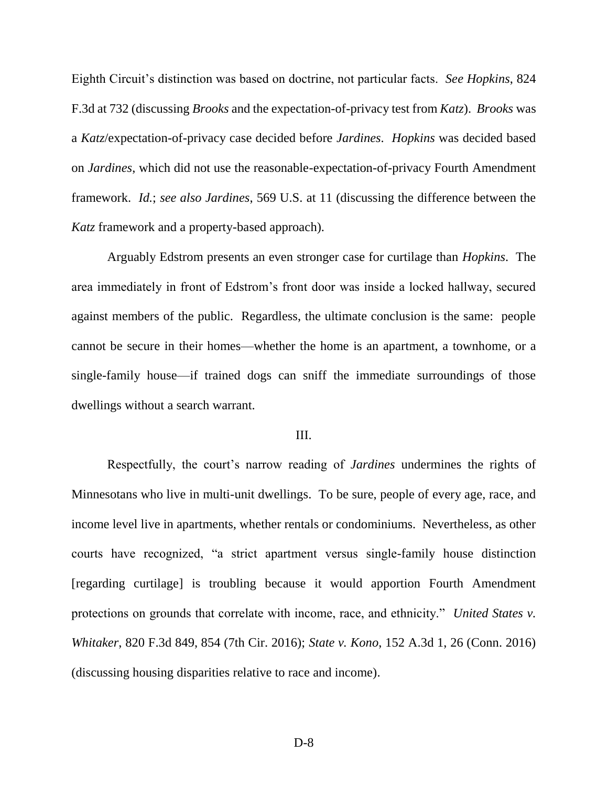Eighth Circuit's distinction was based on doctrine, not particular facts. *See Hopkins*, 824 F.3d at 732 (discussing *Brooks* and the expectation-of-privacy test from *Katz*). *Brooks* was a *Katz*/expectation-of-privacy case decided before *Jardines*. *Hopkins* was decided based on *Jardines*, which did not use the reasonable-expectation-of-privacy Fourth Amendment framework. *Id.*; *see also Jardines*, 569 U.S. at 11 (discussing the difference between the *Katz* framework and a property-based approach).

Arguably Edstrom presents an even stronger case for curtilage than *Hopkins*. The area immediately in front of Edstrom's front door was inside a locked hallway, secured against members of the public. Regardless, the ultimate conclusion is the same: people cannot be secure in their homes—whether the home is an apartment, a townhome, or a single-family house—if trained dogs can sniff the immediate surroundings of those dwellings without a search warrant.

#### III.

Respectfully, the court's narrow reading of *Jardines* undermines the rights of Minnesotans who live in multi-unit dwellings. To be sure, people of every age, race, and income level live in apartments, whether rentals or condominiums. Nevertheless, as other courts have recognized, "a strict apartment versus single-family house distinction [regarding curtilage] is troubling because it would apportion Fourth Amendment protections on grounds that correlate with income, race, and ethnicity." *United States v. Whitaker*, 820 F.3d 849, 854 (7th Cir. 2016); *State v. Kono*, 152 A.3d 1, 26 (Conn. 2016) (discussing housing disparities relative to race and income).